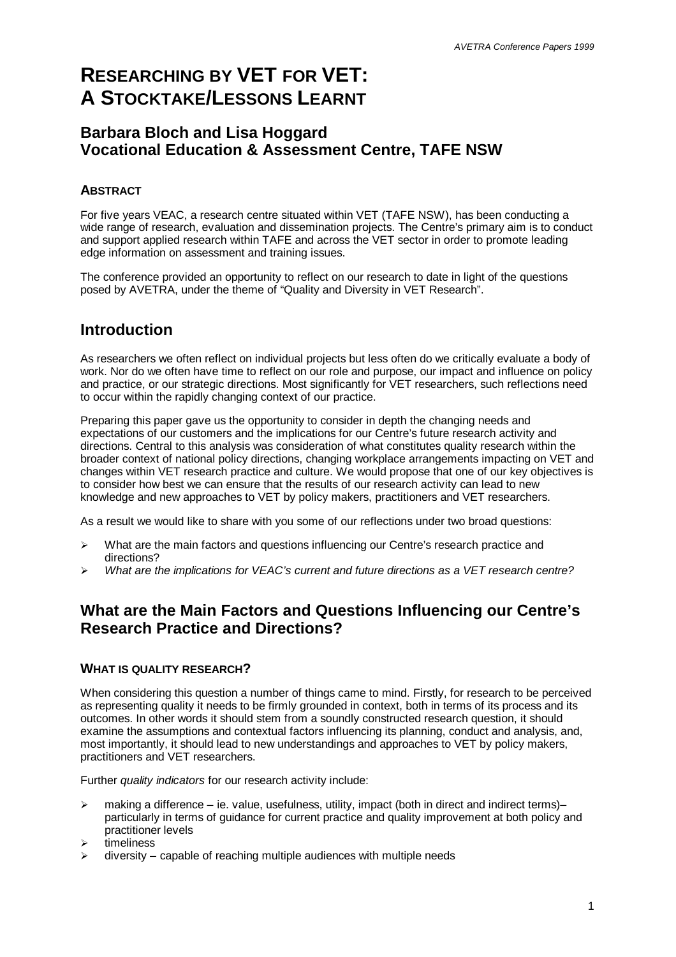# **RESEARCHING BY VET FOR VET: A STOCKTAKE/LESSONS LEARNT**

### **Barbara Bloch and Lisa Hoggard Vocational Education & Assessment Centre, TAFE NSW**

### **ABSTRACT**

For five years VEAC, a research centre situated within VET (TAFE NSW), has been conducting a wide range of research, evaluation and dissemination projects. The Centre's primary aim is to conduct and support applied research within TAFE and across the VET sector in order to promote leading edge information on assessment and training issues.

The conference provided an opportunity to reflect on our research to date in light of the questions posed by AVETRA, under the theme of "Quality and Diversity in VET Research".

# **Introduction**

As researchers we often reflect on individual projects but less often do we critically evaluate a body of work. Nor do we often have time to reflect on our role and purpose, our impact and influence on policy and practice, or our strategic directions. Most significantly for VET researchers, such reflections need to occur within the rapidly changing context of our practice.

Preparing this paper gave us the opportunity to consider in depth the changing needs and expectations of our customers and the implications for our Centre's future research activity and directions. Central to this analysis was consideration of what constitutes quality research within the broader context of national policy directions, changing workplace arrangements impacting on VET and changes within VET research practice and culture. We would propose that one of our key objectives is to consider how best we can ensure that the results of our research activity can lead to new knowledge and new approaches to VET by policy makers, practitioners and VET researchers.

As a result we would like to share with you some of our reflections under two broad questions:

- $\triangleright$  What are the main factors and questions influencing our Centre's research practice and directions?
- ÿ *What are the implications for VEAC's current and future directions as a VET research centre?*

### **What are the Main Factors and Questions Influencing our Centre's Research Practice and Directions?**

#### **WHAT IS QUALITY RESEARCH?**

When considering this question a number of things came to mind. Firstly, for research to be perceived as representing quality it needs to be firmly grounded in context, both in terms of its process and its outcomes. In other words it should stem from a soundly constructed research question, it should examine the assumptions and contextual factors influencing its planning, conduct and analysis, and, most importantly, it should lead to new understandings and approaches to VET by policy makers, practitioners and VET researchers.

Further *quality indicators* for our research activity include:

- > making a difference ie. value, usefulness, utility, impact (both in direct and indirect terms)– particularly in terms of guidance for current practice and quality improvement at both policy and practitioner levels
- timeliness
- diversity capable of reaching multiple audiences with multiple needs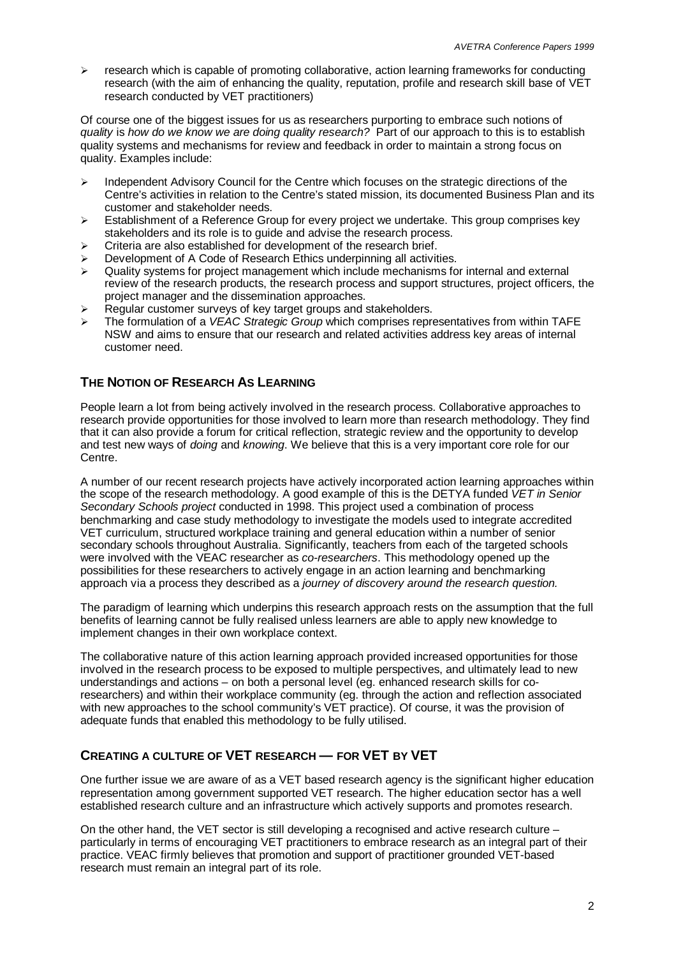$\ge$  research which is capable of promoting collaborative, action learning frameworks for conducting research (with the aim of enhancing the quality, reputation, profile and research skill base of VET research conducted by VET practitioners)

Of course one of the biggest issues for us as researchers purporting to embrace such notions of *quality* is *how do we know we are doing quality research?* Part of our approach to this is to establish quality systems and mechanisms for review and feedback in order to maintain a strong focus on quality. Examples include:

- $\geq$  Independent Advisory Council for the Centre which focuses on the strategic directions of the Centre's activities in relation to the Centre's stated mission, its documented Business Plan and its customer and stakeholder needs.
- $\triangleright$  Establishment of a Reference Group for every project we undertake. This group comprises key stakeholders and its role is to guide and advise the research process.
- $\triangleright$  Criteria are also established for development of the research brief.
- Development of A Code of Research Ethics underpinning all activities.
- $\geq$  Quality systems for project management which include mechanisms for internal and external review of the research products, the research process and support structures, project officers, the project manager and the dissemination approaches.
- $\triangleright$  Regular customer surveys of key target groups and stakeholders.
- ÿ The formulation of a *VEAC Strategic Group* which comprises representatives from within TAFE NSW and aims to ensure that our research and related activities address key areas of internal customer need.

#### **THE NOTION OF RESEARCH AS LEARNING**

People learn a lot from being actively involved in the research process. Collaborative approaches to research provide opportunities for those involved to learn more than research methodology. They find that it can also provide a forum for critical reflection, strategic review and the opportunity to develop and test new ways of *doing* and *knowing*. We believe that this is a very important core role for our Centre.

A number of our recent research projects have actively incorporated action learning approaches within the scope of the research methodology. A good example of this is the DETYA funded *VET in Senior Secondary Schools project* conducted in 1998. This project used a combination of process benchmarking and case study methodology to investigate the models used to integrate accredited VET curriculum, structured workplace training and general education within a number of senior secondary schools throughout Australia. Significantly, teachers from each of the targeted schools were involved with the VEAC researcher as *co-researchers*. This methodology opened up the possibilities for these researchers to actively engage in an action learning and benchmarking approach via a process they described as a *journey of discovery around the research question.*

The paradigm of learning which underpins this research approach rests on the assumption that the full benefits of learning cannot be fully realised unless learners are able to apply new knowledge to implement changes in their own workplace context.

The collaborative nature of this action learning approach provided increased opportunities for those involved in the research process to be exposed to multiple perspectives, and ultimately lead to new understandings and actions – on both a personal level (eg. enhanced research skills for coresearchers) and within their workplace community (eg. through the action and reflection associated with new approaches to the school community's VET practice). Of course, it was the provision of adequate funds that enabled this methodology to be fully utilised.

#### **CREATING A CULTURE OF VET RESEARCH — FOR VET BY VET**

One further issue we are aware of as a VET based research agency is the significant higher education representation among government supported VET research. The higher education sector has a well established research culture and an infrastructure which actively supports and promotes research.

On the other hand, the VET sector is still developing a recognised and active research culture – particularly in terms of encouraging VET practitioners to embrace research as an integral part of their practice. VEAC firmly believes that promotion and support of practitioner grounded VET-based research must remain an integral part of its role.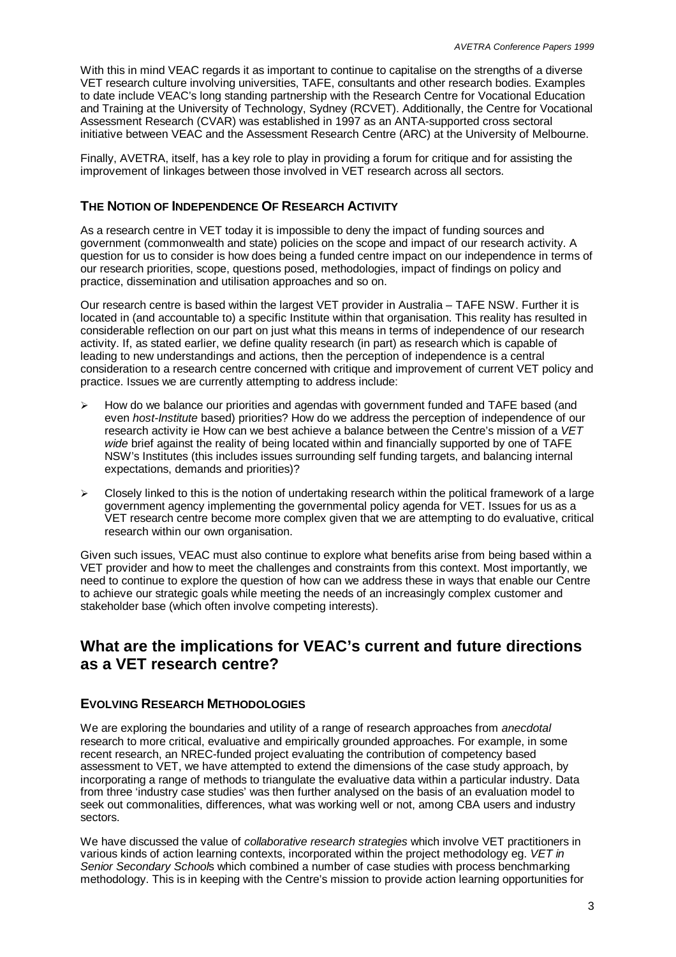With this in mind VEAC regards it as important to continue to capitalise on the strengths of a diverse VET research culture involving universities, TAFE, consultants and other research bodies. Examples to date include VEAC's long standing partnership with the Research Centre for Vocational Education and Training at the University of Technology, Sydney (RCVET). Additionally, the Centre for Vocational Assessment Research (CVAR) was established in 1997 as an ANTA-supported cross sectoral initiative between VEAC and the Assessment Research Centre (ARC) at the University of Melbourne.

Finally, AVETRA, itself, has a key role to play in providing a forum for critique and for assisting the improvement of linkages between those involved in VET research across all sectors.

#### **THE NOTION OF INDEPENDENCE OF RESEARCH ACTIVITY**

As a research centre in VET today it is impossible to deny the impact of funding sources and government (commonwealth and state) policies on the scope and impact of our research activity. A question for us to consider is how does being a funded centre impact on our independence in terms of our research priorities, scope, questions posed, methodologies, impact of findings on policy and practice, dissemination and utilisation approaches and so on.

Our research centre is based within the largest VET provider in Australia – TAFE NSW. Further it is located in (and accountable to) a specific Institute within that organisation. This reality has resulted in considerable reflection on our part on just what this means in terms of independence of our research activity. If, as stated earlier, we define quality research (in part) as research which is capable of leading to new understandings and actions, then the perception of independence is a central consideration to a research centre concerned with critique and improvement of current VET policy and practice. Issues we are currently attempting to address include:

- How do we balance our priorities and agendas with government funded and TAFE based (and even *host-Institute* based) priorities? How do we address the perception of independence of our research activity ie How can we best achieve a balance between the Centre's mission of a *VET wide* brief against the reality of being located within and financially supported by one of TAFE NSW's Institutes (this includes issues surrounding self funding targets, and balancing internal expectations, demands and priorities)?
- $\geq$  Closely linked to this is the notion of undertaking research within the political framework of a large government agency implementing the governmental policy agenda for VET. Issues for us as a VET research centre become more complex given that we are attempting to do evaluative, critical research within our own organisation.

Given such issues, VEAC must also continue to explore what benefits arise from being based within a VET provider and how to meet the challenges and constraints from this context. Most importantly, we need to continue to explore the question of how can we address these in ways that enable our Centre to achieve our strategic goals while meeting the needs of an increasingly complex customer and stakeholder base (which often involve competing interests).

## **What are the implications for VEAC's current and future directions as a VET research centre?**

#### **EVOLVING RESEARCH METHODOLOGIES**

We are exploring the boundaries and utility of a range of research approaches from *anecdotal* research to more critical, evaluative and empirically grounded approaches. For example, in some recent research, an NREC-funded project evaluating the contribution of competency based assessment to VET, we have attempted to extend the dimensions of the case study approach, by incorporating a range of methods to triangulate the evaluative data within a particular industry. Data from three 'industry case studies' was then further analysed on the basis of an evaluation model to seek out commonalities, differences, what was working well or not, among CBA users and industry sectors.

We have discussed the value of *collaborative research strategies* which involve VET practitioners in various kinds of action learning contexts, incorporated within the project methodology eg. *VET in Senior Secondary School*s which combined a number of case studies with process benchmarking methodology. This is in keeping with the Centre's mission to provide action learning opportunities for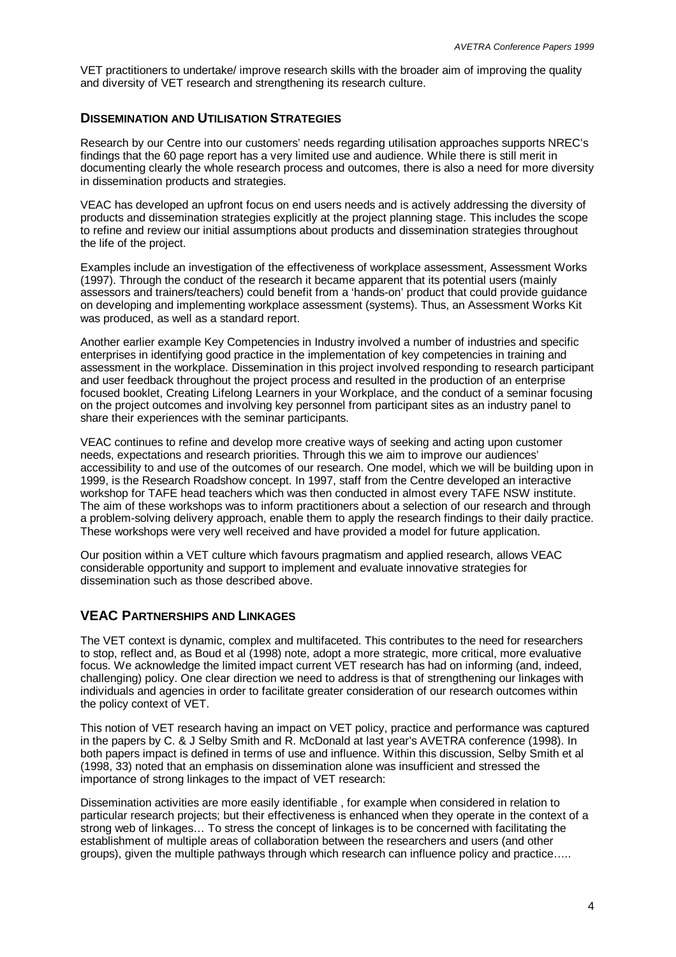VET practitioners to undertake/ improve research skills with the broader aim of improving the quality and diversity of VET research and strengthening its research culture.

#### **DISSEMINATION AND UTILISATION STRATEGIES**

Research by our Centre into our customers' needs regarding utilisation approaches supports NREC's findings that the 60 page report has a very limited use and audience. While there is still merit in documenting clearly the whole research process and outcomes, there is also a need for more diversity in dissemination products and strategies.

VEAC has developed an upfront focus on end users needs and is actively addressing the diversity of products and dissemination strategies explicitly at the project planning stage. This includes the scope to refine and review our initial assumptions about products and dissemination strategies throughout the life of the project.

Examples include an investigation of the effectiveness of workplace assessment, Assessment Works (1997). Through the conduct of the research it became apparent that its potential users (mainly assessors and trainers/teachers) could benefit from a 'hands-on' product that could provide guidance on developing and implementing workplace assessment (systems). Thus, an Assessment Works Kit was produced, as well as a standard report.

Another earlier example Key Competencies in Industry involved a number of industries and specific enterprises in identifying good practice in the implementation of key competencies in training and assessment in the workplace. Dissemination in this project involved responding to research participant and user feedback throughout the project process and resulted in the production of an enterprise focused booklet, Creating Lifelong Learners in your Workplace, and the conduct of a seminar focusing on the project outcomes and involving key personnel from participant sites as an industry panel to share their experiences with the seminar participants.

VEAC continues to refine and develop more creative ways of seeking and acting upon customer needs, expectations and research priorities. Through this we aim to improve our audiences' accessibility to and use of the outcomes of our research. One model, which we will be building upon in 1999, is the Research Roadshow concept. In 1997, staff from the Centre developed an interactive workshop for TAFE head teachers which was then conducted in almost every TAFE NSW institute. The aim of these workshops was to inform practitioners about a selection of our research and through a problem-solving delivery approach, enable them to apply the research findings to their daily practice. These workshops were very well received and have provided a model for future application.

Our position within a VET culture which favours pragmatism and applied research, allows VEAC considerable opportunity and support to implement and evaluate innovative strategies for dissemination such as those described above.

#### **VEAC PARTNERSHIPS AND LINKAGES**

The VET context is dynamic, complex and multifaceted. This contributes to the need for researchers to stop, reflect and, as Boud et al (1998) note, adopt a more strategic, more critical, more evaluative focus. We acknowledge the limited impact current VET research has had on informing (and, indeed, challenging) policy. One clear direction we need to address is that of strengthening our linkages with individuals and agencies in order to facilitate greater consideration of our research outcomes within the policy context of VET.

This notion of VET research having an impact on VET policy, practice and performance was captured in the papers by C. & J Selby Smith and R. McDonald at last year's AVETRA conference (1998). In both papers impact is defined in terms of use and influence. Within this discussion, Selby Smith et al (1998, 33) noted that an emphasis on dissemination alone was insufficient and stressed the importance of strong linkages to the impact of VET research:

Dissemination activities are more easily identifiable , for example when considered in relation to particular research projects; but their effectiveness is enhanced when they operate in the context of a strong web of linkages… To stress the concept of linkages is to be concerned with facilitating the establishment of multiple areas of collaboration between the researchers and users (and other groups), given the multiple pathways through which research can influence policy and practice… ..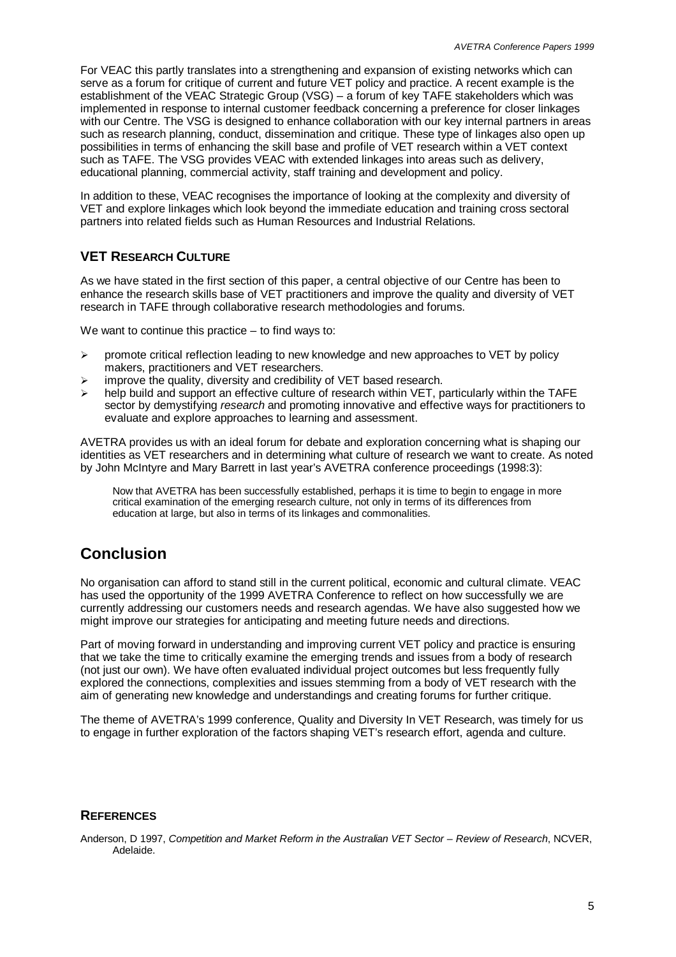For VEAC this partly translates into a strengthening and expansion of existing networks which can serve as a forum for critique of current and future VET policy and practice. A recent example is the establishment of the VEAC Strategic Group (VSG) – a forum of key TAFE stakeholders which was implemented in response to internal customer feedback concerning a preference for closer linkages with our Centre. The VSG is designed to enhance collaboration with our key internal partners in areas such as research planning, conduct, dissemination and critique. These type of linkages also open up possibilities in terms of enhancing the skill base and profile of VET research within a VET context such as TAFE. The VSG provides VEAC with extended linkages into areas such as delivery, educational planning, commercial activity, staff training and development and policy.

In addition to these, VEAC recognises the importance of looking at the complexity and diversity of VET and explore linkages which look beyond the immediate education and training cross sectoral partners into related fields such as Human Resources and Industrial Relations.

### **VET RESEARCH CULTURE**

As we have stated in the first section of this paper, a central objective of our Centre has been to enhance the research skills base of VET practitioners and improve the quality and diversity of VET research in TAFE through collaborative research methodologies and forums.

We want to continue this practice  $-$  to find ways to:

- $\triangleright$  promote critical reflection leading to new knowledge and new approaches to VET by policy makers, practitioners and VET researchers.
- $\triangleright$  improve the quality, diversity and credibility of VET based research.
- help build and support an effective culture of research within VET, particularly within the TAFE sector by demystifying *research* and promoting innovative and effective ways for practitioners to evaluate and explore approaches to learning and assessment.

AVETRA provides us with an ideal forum for debate and exploration concerning what is shaping our identities as VET researchers and in determining what culture of research we want to create. As noted by John McIntyre and Mary Barrett in last year's AVETRA conference proceedings (1998:3):

Now that AVETRA has been successfully established, perhaps it is time to begin to engage in more critical examination of the emerging research culture, not only in terms of its differences from education at large, but also in terms of its linkages and commonalities.

# **Conclusion**

No organisation can afford to stand still in the current political, economic and cultural climate. VEAC has used the opportunity of the 1999 AVETRA Conference to reflect on how successfully we are currently addressing our customers needs and research agendas. We have also suggested how we might improve our strategies for anticipating and meeting future needs and directions.

Part of moving forward in understanding and improving current VET policy and practice is ensuring that we take the time to critically examine the emerging trends and issues from a body of research (not just our own). We have often evaluated individual project outcomes but less frequently fully explored the connections, complexities and issues stemming from a body of VET research with the aim of generating new knowledge and understandings and creating forums for further critique.

The theme of AVETRA's 1999 conference, Quality and Diversity In VET Research, was timely for us to engage in further exploration of the factors shaping VET's research effort, agenda and culture.

#### **REFERENCES**

Anderson, D 1997, *Competition and Market Reform in the Australian VET Sector – Review of Research*, NCVER, Adelaide.